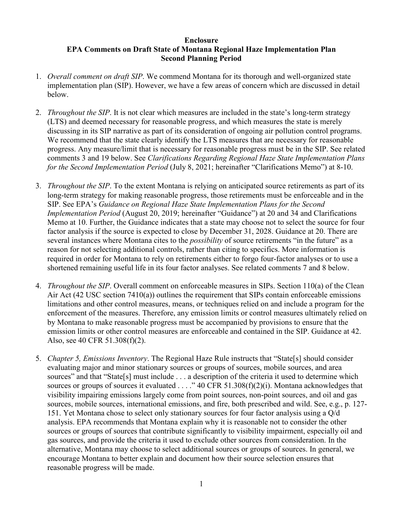## **Enclosure EPA Comments on Draft State of Montana Regional Haze Implementation Plan Second Planning Period**

- 1. *Overall comment on draft SIP*. We commend Montana for its thorough and well-organized state implementation plan (SIP). However, we have a few areas of concern which are discussed in detail below.
- 2. *Throughout the SIP*. It is not clear which measures are included in the state's long-term strategy (LTS) and deemed necessary for reasonable progress, and which measures the state is merely discussing in its SIP narrative as part of its consideration of ongoing air pollution control programs. We recommend that the state clearly identify the LTS measures that are necessary for reasonable progress. Any measure/limit that is necessary for reasonable progress must be in the SIP. See related comments 3 and 19 below. See *Clarifications Regarding Regional Haze State Implementation Plans for the Second Implementation Period* (July 8, 2021; hereinafter "Clarifications Memo") at 8-10.
- 3. *Throughout the SIP*. To the extent Montana is relying on anticipated source retirements as part of its long-term strategy for making reasonable progress, those retirements must be enforceable and in the SIP. See EPA's *Guidance on Regional Haze State Implementation Plans for the Second Implementation Period* (August 20, 2019; hereinafter "Guidance") at 20 and 34 and Clarifications Memo at 10. Further, the Guidance indicates that a state may choose not to select the source for four factor analysis if the source is expected to close by December 31, 2028. Guidance at 20. There are several instances where Montana cites to the *possibility* of source retirements "in the future" as a reason for not selecting additional controls, rather than citing to specifics. More information is required in order for Montana to rely on retirements either to forgo four-factor analyses or to use a shortened remaining useful life in its four factor analyses. See related comments 7 and 8 below.
- 4. *Throughout the SIP*. Overall comment on enforceable measures in SIPs. Section 110(a) of the Clean Air Act (42 USC section 7410(a)) outlines the requirement that SIPs contain enforceable emissions limitations and other control measures, means, or techniques relied on and include a program for the enforcement of the measures. Therefore, any emission limits or control measures ultimately relied on by Montana to make reasonable progress must be accompanied by provisions to ensure that the emission limits or other control measures are enforceable and contained in the SIP. Guidance at 42. Also, see 40 CFR 51.308(f)(2).
- 5. *Chapter 5, Emissions Inventory*. The Regional Haze Rule instructs that "State[s] should consider evaluating major and minor stationary sources or groups of sources, mobile sources, and area sources" and that "State[s] must include . . . a description of the criteria it used to determine which sources or groups of sources it evaluated . . . ." 40 CFR 51.308(f)(2)(i). Montana acknowledges that visibility impairing emissions largely come from point sources, non-point sources, and oil and gas sources, mobile sources, international emissions, and fire, both prescribed and wild. See, e.g., p. 127- 151. Yet Montana chose to select only stationary sources for four factor analysis using a Q/d analysis. EPA recommends that Montana explain why it is reasonable not to consider the other sources or groups of sources that contribute significantly to visibility impairment, especially oil and gas sources, and provide the criteria it used to exclude other sources from consideration. In the alternative, Montana may choose to select additional sources or groups of sources. In general, we encourage Montana to better explain and document how their source selection ensures that reasonable progress will be made.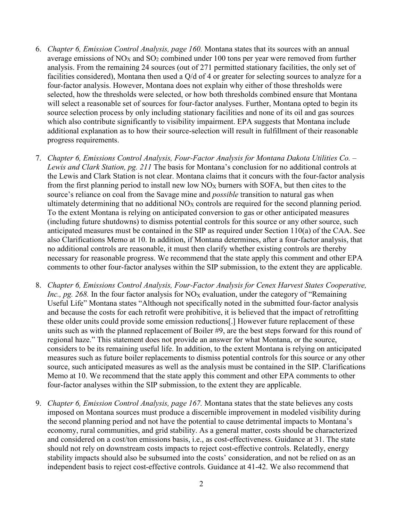- 6. *Chapter 6, Emission Control Analysis, page 160.* Montana states that its sources with an annual average emissions of  $NO<sub>X</sub>$  and  $SO<sub>2</sub>$  combined under 100 tons per year were removed from further analysis. From the remaining 24 sources (out of 271 permitted stationary facilities, the only set of facilities considered), Montana then used a Q/d of 4 or greater for selecting sources to analyze for a four-factor analysis. However, Montana does not explain why either of those thresholds were selected, how the thresholds were selected, or how both thresholds combined ensure that Montana will select a reasonable set of sources for four-factor analyses. Further, Montana opted to begin its source selection process by only including stationary facilities and none of its oil and gas sources which also contribute significantly to visibility impairment. EPA suggests that Montana include additional explanation as to how their source-selection will result in fulfillment of their reasonable progress requirements.
- 7. *Chapter 6, Emissions Control Analysis, Four-Factor Analysis for Montana Dakota Utilities Co. – Lewis and Clark Station, pg. 211* The basis for Montana's conclusion for no additional controls at the Lewis and Clark Station is not clear. Montana claims that it concurs with the four-factor analysis from the first planning period to install new low  $NO<sub>X</sub>$  burners with SOFA, but then cites to the source's reliance on coal from the Savage mine and *possible* transition to natural gas when ultimately determining that no additional  $NO<sub>X</sub>$  controls are required for the second planning period. To the extent Montana is relying on anticipated conversion to gas or other anticipated measures (including future shutdowns) to dismiss potential controls for this source or any other source, such anticipated measures must be contained in the SIP as required under Section 110(a) of the CAA. See also Clarifications Memo at 10. In addition, if Montana determines, after a four-factor analysis, that no additional controls are reasonable, it must then clarify whether existing controls are thereby necessary for reasonable progress. We recommend that the state apply this comment and other EPA comments to other four-factor analyses within the SIP submission, to the extent they are applicable.
- 8. *Chapter 6, Emissions Control Analysis, Four-Factor Analysis for Cenex Harvest States Cooperative, Inc., pg. 268.* In the four factor analysis for  $NO<sub>X</sub>$  evaluation, under the category of "Remaining" Useful Life" Montana states "Although not specifically noted in the submitted four-factor analysis and because the costs for each retrofit were prohibitive, it is believed that the impact of retrofitting these older units could provide some emission reductions[.] However future replacement of these units such as with the planned replacement of Boiler #9, are the best steps forward for this round of regional haze." This statement does not provide an answer for what Montana, or the source, considers to be its remaining useful life. In addition, to the extent Montana is relying on anticipated measures such as future boiler replacements to dismiss potential controls for this source or any other source, such anticipated measures as well as the analysis must be contained in the SIP. Clarifications Memo at 10. We recommend that the state apply this comment and other EPA comments to other four-factor analyses within the SIP submission, to the extent they are applicable.
- 9. *Chapter 6, Emission Control Analysis, page 167.* Montana states that the state believes any costs imposed on Montana sources must produce a discernible improvement in modeled visibility during the second planning period and not have the potential to cause detrimental impacts to Montana's economy, rural communities, and grid stability. As a general matter, costs should be characterized and considered on a cost/ton emissions basis, i.e., as cost-effectiveness. Guidance at 31. The state should not rely on downstream costs impacts to reject cost-effective controls. Relatedly, energy stability impacts should also be subsumed into the costs' consideration, and not be relied on as an independent basis to reject cost-effective controls. Guidance at 41-42. We also recommend that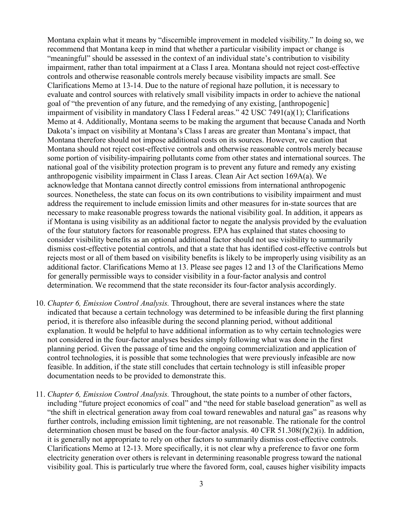Montana explain what it means by "discernible improvement in modeled visibility." In doing so, we recommend that Montana keep in mind that whether a particular visibility impact or change is "meaningful" should be assessed in the context of an individual state's contribution to visibility impairment, rather than total impairment at a Class I area. Montana should not reject cost-effective controls and otherwise reasonable controls merely because visibility impacts are small. See Clarifications Memo at 13-14. Due to the nature of regional haze pollution, it is necessary to evaluate and control sources with relatively small visibility impacts in order to achieve the national goal of "the prevention of any future, and the remedying of any existing, [anthropogenic] impairment of visibility in mandatory Class I Federal areas." 42 USC 7491(a)(1); Clarifications Memo at 4. Additionally, Montana seems to be making the argument that because Canada and North Dakota's impact on visibility at Montana's Class I areas are greater than Montana's impact, that Montana therefore should not impose additional costs on its sources. However, we caution that Montana should not reject cost-effective controls and otherwise reasonable controls merely because some portion of visibility-impairing pollutants come from other states and international sources. The national goal of the visibility protection program is to prevent any future and remedy any existing anthropogenic visibility impairment in Class I areas. Clean Air Act section 169A(a). We acknowledge that Montana cannot directly control emissions from international anthropogenic sources. Nonetheless, the state can focus on its own contributions to visibility impairment and must address the requirement to include emission limits and other measures for in-state sources that are necessary to make reasonable progress towards the national visibility goal. In addition, it appears as if Montana is using visibility as an additional factor to negate the analysis provided by the evaluation of the four statutory factors for reasonable progress. EPA has explained that states choosing to consider visibility benefits as an optional additional factor should not use visibility to summarily dismiss cost-effective potential controls, and that a state that has identified cost-effective controls but rejects most or all of them based on visibility benefits is likely to be improperly using visibility as an additional factor. Clarifications Memo at 13. Please see pages 12 and 13 of the Clarifications Memo for generally permissible ways to consider visibility in a four-factor analysis and control determination. We recommend that the state reconsider its four-factor analysis accordingly.

- 10. *Chapter 6, Emission Control Analysis.* Throughout, there are several instances where the state indicated that because a certain technology was determined to be infeasible during the first planning period, it is therefore also infeasible during the second planning period, without additional explanation. It would be helpful to have additional information as to why certain technologies were not considered in the four-factor analyses besides simply following what was done in the first planning period. Given the passage of time and the ongoing commercialization and application of control technologies, it is possible that some technologies that were previously infeasible are now feasible. In addition, if the state still concludes that certain technology is still infeasible proper documentation needs to be provided to demonstrate this.
- 11. *Chapter 6, Emission Control Analysis.* Throughout, the state points to a number of other factors, including "future project economics of coal" and "the need for stable baseload generation" as well as "the shift in electrical generation away from coal toward renewables and natural gas" as reasons why further controls, including emission limit tightening, are not reasonable. The rationale for the control determination chosen must be based on the four-factor analysis. 40 CFR 51.308(f)(2)(i). In addition, it is generally not appropriate to rely on other factors to summarily dismiss cost-effective controls. Clarifications Memo at 12-13. More specifically, it is not clear why a preference to favor one form electricity generation over others is relevant in determining reasonable progress toward the national visibility goal. This is particularly true where the favored form, coal, causes higher visibility impacts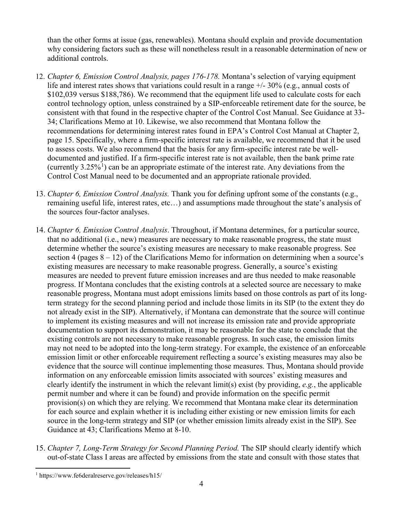than the other forms at issue (gas, renewables). Montana should explain and provide documentation why considering factors such as these will nonetheless result in a reasonable determination of new or additional controls.

- 12. *Chapter 6, Emission Control Analysis, pages 176-178.* Montana's selection of varying equipment life and interest rates shows that variations could result in a range  $\pm/2.50\%$  (e.g., annual costs of \$102,039 versus \$188,786). We recommend that the equipment life used to calculate costs for each control technology option, unless constrained by a SIP-enforceable retirement date for the source, be consistent with that found in the respective chapter of the Control Cost Manual. See Guidance at 33- 34; Clarifications Memo at 10. Likewise, we also recommend that Montana follow the recommendations for determining interest rates found in EPA's Control Cost Manual at Chapter 2, page 15. Specifically, where a firm-specific interest rate is available, we recommend that it be used to assess costs. We also recommend that the basis for any firm-specific interest rate be welldocumented and justified. If a firm-specific interest rate is not available, then the bank prime rate (currently  $3.25\%$ <sup>[1](#page-3-0)</sup>) can be an appropriate estimate of the interest rate. Any deviations from the Control Cost Manual need to be documented and an appropriate rationale provided.
- 13. *Chapter 6, Emission Control Analysis.* Thank you for defining upfront some of the constants (e.g., remaining useful life, interest rates, etc…) and assumptions made throughout the state's analysis of the sources four-factor analyses.
- 14. *Chapter 6, Emission Control Analysis*. Throughout, if Montana determines, for a particular source, that no additional (i.e., new) measures are necessary to make reasonable progress, the state must determine whether the source's existing measures are necessary to make reasonable progress. See section 4 (pages  $8 - 12$ ) of the Clarifications Memo for information on determining when a source's existing measures are necessary to make reasonable progress. Generally, a source's existing measures are needed to prevent future emission increases and are thus needed to make reasonable progress. If Montana concludes that the existing controls at a selected source are necessary to make reasonable progress, Montana must adopt emissions limits based on those controls as part of its longterm strategy for the second planning period and include those limits in its SIP (to the extent they do not already exist in the SIP). Alternatively, if Montana can demonstrate that the source will continue to implement its existing measures and will not increase its emission rate and provide appropriate documentation to support its demonstration, it may be reasonable for the state to conclude that the existing controls are not necessary to make reasonable progress. In such case, the emission limits may not need to be adopted into the long-term strategy. For example, the existence of an enforceable emission limit or other enforceable requirement reflecting a source's existing measures may also be evidence that the source will continue implementing those measures. Thus, Montana should provide information on any enforceable emission limits associated with sources' existing measures and clearly identify the instrument in which the relevant limit(s) exist (by providing, *e.g.*, the applicable permit number and where it can be found) and provide information on the specific permit provision(s) on which they are relying. We recommend that Montana make clear its determination for each source and explain whether it is including either existing or new emission limits for each source in the long-term strategy and SIP (or whether emission limits already exist in the SIP). See Guidance at 43; Clarifications Memo at 8-10.
- 15. *Chapter 7, Long-Term Strategy for Second Planning Period.* The SIP should clearly identify which out-of-state Class I areas are affected by emissions from the state and consult with those states that

<span id="page-3-0"></span>l <sup>1</sup> https://www.fe6deralreserve.gov/releases/h15/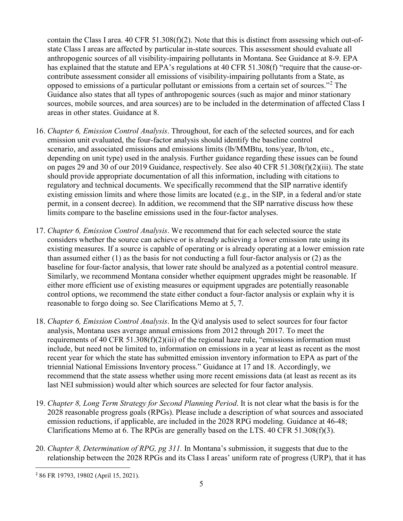contain the Class I area. 40 CFR 51.308(f)(2). Note that this is distinct from assessing which out-ofstate Class I areas are affected by particular in-state sources. This assessment should evaluate all anthropogenic sources of all visibility-impairing pollutants in Montana. See Guidance at 8-9. EPA has explained that the statute and EPA's regulations at 40 CFR 51.308(f) "require that the cause-orcontribute assessment consider all emissions of visibility-impairing pollutants from a State, as opposed to emissions of a particular pollutant or emissions from a certain set of sources."[2](#page-4-0) The Guidance also states that all types of anthropogenic sources (such as major and minor stationary sources, mobile sources, and area sources) are to be included in the determination of affected Class I areas in other states. Guidance at 8.

- 16. *Chapter 6, Emission Control Analysis*. Throughout, for each of the selected sources, and for each emission unit evaluated, the four-factor analysis should identify the baseline control scenario, and associated emissions and emissions limits (lb/MMBtu, tons/year, lb/ton, etc., depending on unit type) used in the analysis. Further guidance regarding these issues can be found on pages 29 and 30 of our 2019 Guidance, respectively. See also 40 CFR 51.308(f)(2)(iii). The state should provide appropriate documentation of all this information, including with citations to regulatory and technical documents. We specifically recommend that the SIP narrative identify existing emission limits and where those limits are located (e.g., in the SIP, in a federal and/or state permit, in a consent decree). In addition, we recommend that the SIP narrative discuss how these limits compare to the baseline emissions used in the four-factor analyses.
- 17. *Chapter 6, Emission Control Analysis*. We recommend that for each selected source the state considers whether the source can achieve or is already achieving a lower emission rate using its existing measures. If a source is capable of operating or is already operating at a lower emission rate than assumed either (1) as the basis for not conducting a full four-factor analysis or (2) as the baseline for four-factor analysis, that lower rate should be analyzed as a potential control measure. Similarly, we recommend Montana consider whether equipment upgrades might be reasonable. If either more efficient use of existing measures or equipment upgrades are potentially reasonable control options, we recommend the state either conduct a four-factor analysis or explain why it is reasonable to forgo doing so. See Clarifications Memo at 5, 7.
- 18. *Chapter 6, Emission Control Analysis*. In the Q/d analysis used to select sources for four factor analysis, Montana uses average annual emissions from 2012 through 2017. To meet the requirements of 40 CFR 51.308(f)(2)(iii) of the regional haze rule, "emissions information must include, but need not be limited to, information on emissions in a year at least as recent as the most recent year for which the state has submitted emission inventory information to EPA as part of the triennial National Emissions Inventory process." Guidance at 17 and 18. Accordingly, we recommend that the state assess whether using more recent emissions data (at least as recent as its last NEI submission) would alter which sources are selected for four factor analysis.
- 19. *Chapter 8, Long Term Strategy for Second Planning Period*. It is not clear what the basis is for the 2028 reasonable progress goals (RPGs). Please include a description of what sources and associated emission reductions, if applicable, are included in the 2028 RPG modeling. Guidance at 46-48; Clarifications Memo at 6. The RPGs are generally based on the LTS. 40 CFR 51.308(f)(3).
- 20. *Chapter 8, Determination of RPG, pg 311.* In Montana's submission, it suggests that due to the relationship between the 2028 RPGs and its Class I areas' uniform rate of progress (URP), that it has

<span id="page-4-0"></span> <sup>2</sup> 86 FR 19793, 19802 (April 15, 2021).